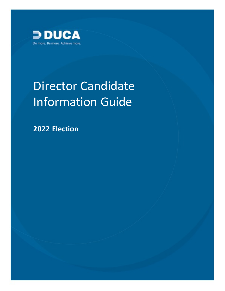

# Director Candidate Information Guide

**2022 Election**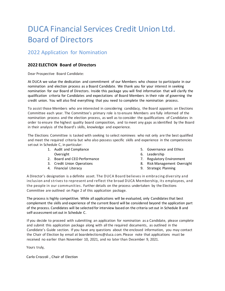## DUCA Financial Services Credit Union Ltd. Board of Directors

### 2022 Application for Nomination

### **2022 ELECTION Board of Directors**

Dear Prospective Board Candidate:

At DUCA we value the dedication and commitment of our Members who choose to participate in our nomination and election process as a Board Candidate. We thank you for your interest in seeking nomination for our Board of Directors. Inside this package you will find information that will clarify the qualification criteria for Candidates and expectations of Board Members in their role of governing the credit union. You will also find everything that you need to complete the nomination process.

To assist those Members who are interested in considering candidacy, the Board appoints an Elections Committee each year. The Committee's primary role is to ensure Members are fully informed of the nomination process and the election process, as well as to consider the qualifications of Candidates in order to ensure the highest quality board composition, and to meet any gaps asidentified by the Board in their analysis of the Board's skills, knowledge and experience.

The Elections Committee is tasked with seeking to select nominees who not only are the best qualified and meet the required criteria but who also possess specific skills and experience in the competencies set out in Schedule C, in particular:

- 1. Audit and Compliance Oversight
- 2. Board and CEO Performance
- 3. Credit Union Operations
- 4. Financial Literacy
- 5. Governance and Ethics
- 6. Leadership
- 7. Regulatory Environment
- 8. Risk Management Oversight
- 9. Strategic Planning

A Director's designation is a definite asset. The DUCA Board believes in embracing diversity and inclusion and strives to represent and reflect the broad DUCA Membership, its employees, and the people in our communities. Further details on the process undertaken by the Elections Committee are outlined on Page 2 of this application package.

The process is highly competitive. While all applications will be evaluated, only Candidatesthat best complement the skills and experience of the current Board will be considered beyond the application part of the process. Candidates will be selected for interview based on the criteria set out in Schedule B and self-assessment set out in Schedule C.

If you decide to proceed with submitting an application for nomination as a Candidate, please complete and submit this application package along with all the required documents, as outlined in the Candidate's Guide section. If you have any questions about the enclosed information, you may contact the Chair of Election by email at boardelections@duca.com. Please note that applications must be received no earlier than November 10, 2021, and no later than December 9, 2021.

Yours truly,

Carlo Crozzoli , Chair of Election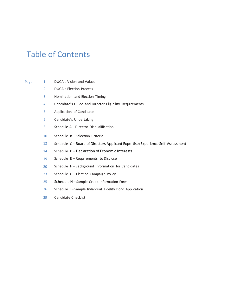### Table of Contents

#### Page 1 DUCA's Vision and Values

- DUCA's Election Process
- Nomination and Election Timing
- Candidate's Guide and Director Eligibility Requirements
- Application of Candidate
- Candidate's Undertaking
- Schedule A Director Disqualification
- Schedule B Selection Criteria
- 12 Schedule C Board of Directors Applicant Expertise/Experience Self-Assessment
- 14 Schedule D Declaration of Economic Interests
- Schedule E Requirements to Disclose
- Schedule F Background Information for Candidates
- Schedule G Election Campaign Policy
- 25 Schedule H Sample Credit Information Form
- Schedule I Sample Individual Fidelity Bond Application
- Candidate Checklist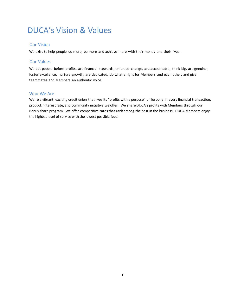## DUCA's Vision & Values

### Our Vision

We exist to help people do more, be more and achieve more with their money and their lives.

### Our Values

We put people before profits, are financial stewards, embrace change, are accountable, think big, are genuine, foster excellence, nurture growth, are dedicated, do what's right for Members and each other, and give teammates and Members an authentic voice.

### Who We Are

We're a vibrant, exciting credit union that lives its "profits with a purpose" philosophy in every financial transaction, product, interest rate, and community initiative we offer. We share DUCA's profits with Members through our Bonus share program. We offer competitive rates that rank among the best in the business. DUCA Members enjoy the highest level of service with the lowest possible fees.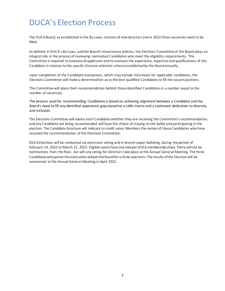## DUCA's Election Process

The DUCA Board, as established in the By-Laws, consists of nine directors and in 2022 three vacancies need to be filled.

As defined in DUCA's By-Laws, andthe Board's Governance policies, the Elections Committee of the Board plays an integralrole in the process of reviewing nominated Candidates who meet the eligibility requirements. This Committee isrequired to evaluateall applicants and to evaluate the experience, expertise and qualifications of the Candidate in relation to the specific Director selection criteria established by the Board annually.

Upon completion of the Candidate evaluations, which may include interviews for applicable candidates, the Elections Committee will make a determination asto the best qualified Candidatesto fill the vacant positions.

The Committee will place their recommendation behind those identified Candidatesin a number equal to the number of vacancies.

The process used for recommending Candidates is based on achieving alignment between a Candidate and the Board's need to fill any identified experience gaps based on a skills matrix and a continued dedication to diversity and inclusion.

The Elections Committee will advise each Candidate whether they are receiving the Committee's recommendation, and any Candidate not being recommended will have the choice of staying on the ballot and participating in the election. The Candidate brochure will indicate to credit union Membersthe names of those Candidates who have received the recommendation of the Elections Committee.

DUCAElections will be conducted via electronic voting and in branch paper balloting, during the period of February 14, 2022 to March 15, 2022. Eligible voters have one vote per DUCA membership share. There willnot be nominations from the floor, nor will any voting for Directorstake place atthe Annual General Meeting. The three Candidates who garner the most votes will join the Board for a three-year term. The results ofthe Election will be announced atthe Annual General Meeting in April 2022.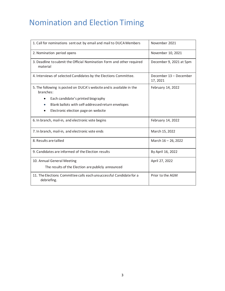## Nomination and Election Timing

| 1. Call for nominations sent out by email and mail to DUCA Members                 | November 2021                      |
|------------------------------------------------------------------------------------|------------------------------------|
| 2. Nomination period opens                                                         | November 10, 2021                  |
| 3. Deadline to submit the Official Nomination Form and other required<br>material  | December 9, 2021 at 5pm            |
| 4. Interviews of selected Candidates by the Elections Committee.                   | December 13 - December<br>17, 2021 |
| 5. The following is posted on DUCA's website and is available in the<br>branches:  | February 14, 2022                  |
| Each candidate's printed biography<br>$\bullet$                                    |                                    |
| Blank ballots with self-addressed return envelopes<br>$\bullet$                    |                                    |
| Electronic election page on website                                                |                                    |
| 6. In branch, mail-in, and electronic vote begins                                  | February 14, 2022                  |
| 7. In branch, mail-in, and electronic vote ends                                    | March 15, 2022                     |
| 8. Results are tallied                                                             | March 16 - 26, 2022                |
| 9. Candidates are informed of the Election results                                 | By April 16, 2022                  |
| 10. Annual General Meeting                                                         | April 27, 2022                     |
| The results of the Election are publicly announced                                 |                                    |
| 11. The Elections Committee calls each unsuccessful Candidate for a<br>debriefing. | Prior to the AGM                   |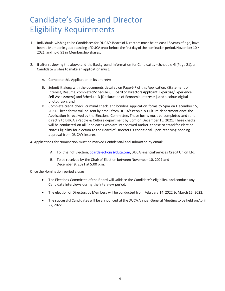## Candidate's Guide and Director Eligibility Requirements

- 1. Individuals wishing to be Candidates for DUCA's Board of Directors must be at least 18 years of age, have been a Member in good standing of DUCA on or before the first day of the nomination period, November 10<sup>th</sup>, 2021, and hold \$1 in Membership Shares.
- 2. If afterreviewing the above and the Background Information for Candidates Schedule G (Page 21), a Candidate wishes to make an application must:
	- A. Complete this Application in its entirety;
	- B. Submit it along with the documents detailed on Page 6-7 of this Application. (Statement of Interest, Resume, completed Schedule C [Board of Directors Applicant Expertise/Experience Self-Assessment] and Schedule D [Declaration of Economic Interests], anda colour digital photograph; and
	- D. Complete credit check, criminal check, and bonding application forms by 5pm on December 15, 2021. These forms will be sent by email from DUCA's People & Culture department once the Application is received by the Elections Committee. These forms must be completed and sent directly to DUCA's People & Culture department by 5pm on December 15, 2021. These checks will be conducted on all Candidates who are interviewed and/or choose to stand for election. Note: Eligibility for election to the Board of Directors is conditional upon receiving bonding approval from DUCA's insurer.
- 4. Applications for Nomination must be marked Confidential and submitted by email:
	- A. To: Chair of Election, [boardelections@duca.com](mailto:boardelections@duca.com), DUCA Financial Services Credit Union Ltd.
	- B. To be received by the Chair of Election between November 10, 2021 and December 9, 2021 at 5:00 p.m.

Once the Nomination period closes:

- The Elections Committee of the Board will validate the Candidate's eligibility, and conduct any Candidate interviews during the interview period.
- The election of Directors by Members will be conducted from February 14, 2022 to March 15, 2022.
- The successfulCandidates will be announced atthe DUCAAnnual General Meeting to be held on April 27, 2022.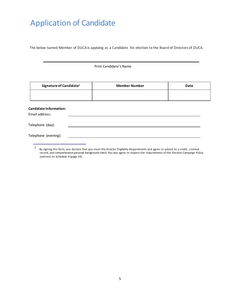## Application of Candidate

The below named Member of DUCA is applying as a Candidate for election to the Board of Directors of DUCA.

Print Candidate's Name

| Signature of Candidate <sup>1</sup> | <b>Member Number</b> | Date |
|-------------------------------------|----------------------|------|
|                                     |                      |      |

#### **Candidate Information:**

Email address:

Telephone (day):

Telephone (evening):

<sup>1</sup> By signing this form, you declare that you meet the Director Eligibility Requirements and agree to submit to a credit, criminal record, and comprehensive personal background check.You also agree to respect the requirements of the Election Campaign Policy outlined on Schedule H (page 24).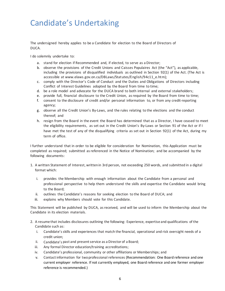## Candidate's Undertaking

The undersigned hereby applies to be a Candidate for election to the Board of Directors of DUCA.

I do solemnly undertake to:

- a. stand for election if Recommended and, if elected, to serve as a Director;
- b. observe the provisions of the Credit Unions and Caisses Populaires Act (the "Act"), as applicable, including the provisions of disqualified individuals as outlined in Section 92(1) of the Act. (The Act is accessible at [www.elaws.gov.on.ca/DBLaws/Statutes/English/94c11\\_e.htm\);](http://www.elaws.gov.on.ca/DBLaws/Statutes/English/94c11_e.htm)%3B)
- c. comply with the Director's Code of Conduct and the Duties and Obligations of Directors including Conflict of Interest Guidelines adopted by the Board from time to time;
- d. be a role model and advocate for the DUCA brand to both internal and external stakeholders;
- e. provide full, financial disclosure to the Credit Union, asrequired by the Board from time to time;
- f. consent to the disclosure of credit and/or personal information to, or from any credit-reporting agency;
- g. observe all the Credit Union's By-Laws, and the rules relating to the elections and the conduct thereof; and
- h. resign from the Board in the event the Board has determined that as a Director, I have ceased to meet the eligibility requirements, as set out in the Credit Union's By-Laws or Section 91 of the Act or if I have met the test of any of the disqualifying criteria as set out in Section 92(1) of the Act, during my term of office.

I further understand that in order to be eligible for consideration for Nomination, this Application must be completed as required; submitted asreferenced in the Notice of Nomination; and be accompanied by the following documents:

- 1. A written Statement of Interest, written in 3rd person, not exceeding 250 words, and submitted in a digital format which:
	- i. provides the Membership with enough information about the Candidate from a personal and professional perspective to help them understand the skills and expertise the Candidate would bring to the Board;
	- ii. outlines the Candidate's reasons for seeking election to the Board of DUCA; and
	- iii. explains why Members should vote for this Candidate.

This Statement will be published by DUCA, asreceived, and will be used to inform the Membership about the Candidate in its election materials.

- 2. A resume that includes disclosures outlining the following: Experience, expertise and qualifications of the Candidate such as:
	- i. Candidate'sskills and experiences that match the financial, operational and risk oversight needs of a credit union;
	- ii. Candidate's past and present service as a Director of a Board;
	- iii. Any formal Director education/training accreditations;
	- iv. Candidate's professional, community or other affiliations or Memberships; and
	- v. Contact information for twoprofessional references (Recommendation: One Board reference and one current employer reference. If not currently employed, one Board reference and one former employer reference is recommended.)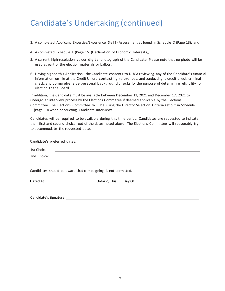## Candidate's Undertaking (continued)

- 3. A completed Applicant Expertise/Experience Self Assessment as found in Schedule D (Page 13); and
- 4. A completed Schedule E (Page 15)(Declaration of Economic Interests);
- 5. A current high-resolution colour digital photograph of the Candidate. Please note that no photo will be used as part of the election materials or ballots.
- 6. Having signed this Application, the Candidate consents to DUCA reviewing any of the Candidate's financial information on file at the Credit Union, contacting references, andconducting a credit check, criminal check, and comprehensive personal background checks forthe purpose of determining eligibility for election to the Board.

In addition, the Candidate must be available between December 13, 2021 and December 17, 2021 to undergo an interview process by the Elections Committee if deemed applicable by the Elections Committee. The Elections Committee will be using the Director Selection Criteria set out in Schedule B (Page 10) when conducting Candidate interviews.

Candidates will be required to be available during this time period. Candidates are requested to indicate their first and second choice, out of the dates noted above. The Elections Committee will reasonably try to accommodate the requested date.

| Candidate's preferred dates:<br><u> 1989 - Johann Barbara, markazi bashkar mashrida ma'lumot olib tashkalarda olib tashkalarda boʻlgan boʻlgan b</u><br><u> Andreas Andreas Andreas Andreas Andreas Andreas Andreas Andreas Andreas Andreas Andreas Andreas Andreas Andreas Andreas Andreas Andreas Andreas Andreas Andreas Andreas Andreas Andreas Andreas Andreas Andreas Andreas Andr</u><br>Candidates should be aware that campaigning is not permitted. |
|---------------------------------------------------------------------------------------------------------------------------------------------------------------------------------------------------------------------------------------------------------------------------------------------------------------------------------------------------------------------------------------------------------------------------------------------------------------|

Candidate's Signature: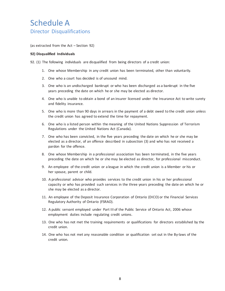### Schedule A Director Disqualifications

(as extracted from the Act – Section 92)

#### **92) Disqualified Individuals**

- 92. (1) The following individuals are disqualified from being directors of a credit union:
	- 1. One whose Membership in any credit union has been terminated, other than voluntarily.
	- 2. One who a court has decided is of unsound mind.
	- 3. One who is an undischarged bankrupt or who has been discharged as a bankrupt in the five years preceding the date on which he or she may be elected as director.
	- 4. One who is unable to obtain a bond of an insurer licensed under the Insurance Act to write surety and fidelity insurance.
	- 5. One who is more than 90 days in arrears in the payment of a debt owed to the credit union unless the credit union has agreed to extend the time for repayment.
	- 6. One who is a listed person within the meaning of the United Nations Suppression of Terrorism Regulations under the United Nations Act (Canada).
	- 7. One who has been convicted, in the five years preceding the date on which he or she may be elected as a director, of an offence described in subsection (3) and who has not received a pardon for the offence.
	- 8. One whose Membership in a professional association has been terminated, in the five years preceding the date on which he or she may be elected as director, for professional misconduct.
	- 9. An employee of the credit union or a league in which the credit union is a Member or his or her spouse, parent or child.
	- 10. A professional advisor who provides services to the credit union in his or her professional capacity or who has provided such services in the three years preceding the date on which he or she may be elected as a director.
	- 11. An employee of the Deposit Insurance Corporation of Ontario (DICO) or the Financial Services Regulatory Authority of Ontario (FSRAO).
	- 12. A public servant employed under Part III of the Public Service of Ontario Act, 2006 whose employment duties include regulating credit unions.
	- 13. One who has not met the training requirements or qualifications for directors established by the credit union.
	- 14. One who has not met any reasonable condition or qualification set out in the By-laws of the credit union.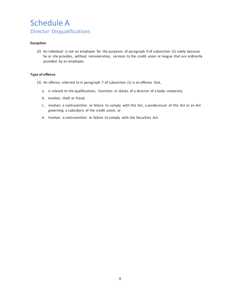### Schedule A Director Disqualifications

#### **Exception**

(2) An individual is not an employee for the purposes of paragraph 9 of subsection (1) solely because he or she provides, without remuneration, services to the credit union or league that are ordinarily provided by an employee.

#### **Type of offence**

- (3) An offence referred to in paragraph 7 of subsection (1) is an offence that,
	- a. is related to the qualifications, functions or duties of a director of a body corporate;
	- b. involves theft or fraud;
	- c. involves a contravention or failure to comply with this Act, a predecessor of this Act or an Act governing a subsidiary of the credit union; or
	- d. involves a contravention or failure to comply with the Securities Act.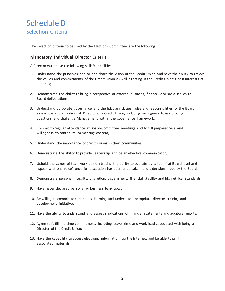### Schedule B Selection Criteria

The selection criteria to be used by the Elections Committee are the following:

### **Mandatory Individual Director Criteria**

A Director must have the following skills/capabilities:

- 1. Understand the principles behind and share the vision of the Credit Union and have the ability to reflect the values and commitments of the Credit Union as well as acting in the Credit Union's best interests at all times;
- 2. Demonstrate the ability to bring a perspective of external business, finance, and social issues to Board deliberations;
- 3. Understand corporate governance and the fiduciary duties, roles and responsibilities of the Board as a whole and an individual Director of a Credit Union, including willingness to ask probing questions and challenge Management within the governance framework;
- 4. Commit to regular attendance at Board/Committee meetings and to full preparedness and willingness to contribute to meeting content;
- 5. Understand the importance of credit unions in their communities;
- 6. Demonstrate the ability to provide leadership and be an effective communicator;
- 7. Uphold the values of teamwork demonstrating the ability to operate as "a team" at Board level and "speak with one voice" once full discussion has been undertaken and a decision made by the Board;
- 8. Demonstrate personal integrity, discretion, discernment, financial stability and high ethical standards;
- 9. Have never declared personal or business bankruptcy;
- 10. Be willing to commit to continuous learning and undertake appropriate director training and development initiatives;
- 11. Have the ability to understand and assess implications of financial statements and auditors reports;
- 12. Agree to fulfill the time commitment, including travel time and work load associated with being a Director of the Credit Union;
- 13. Have the capability to access electronic information via the Internet, and be able to print associated materials.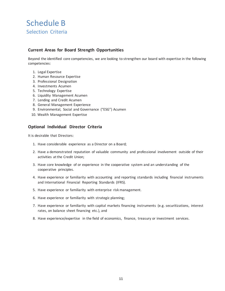### Schedule B Selection Criteria

### **Current Areas for Board Strength Opportunities**

Beyond the identified core competencies, we are looking to strengthen our board with expertise in the following competencies:

- 1. Legal Expertise
- 2. Human Resource Expertise
- 3. Professional Designation
- 4. Investments Acumen
- 5. Technology Expertise
- 6. Liquidity Management Acumen
- 7. Lending and Credit Acumen
- 8. General Management Experience
- 9. Environmental, Social and Governance ("ESG") Acumen
- 10. Wealth Management Expertise

### **Optional Individual Director Criteria**

It is desirable that Directors:

- 1. Have considerable experience as a Director on a Board;
- 2. Have a demonstrated reputation of valuable community and professional involvement outside of their activities atthe Credit Union;
- 3. Have core knowledge of or experience in the cooperative system and an understanding of the cooperative principles.
- 4. Have experience or familiarity with accounting and reporting standards including financial instruments and International Financial Reporting Standards (IFRS).
- 5. Have experience or familiarity with enterprise risk management.
- 6. Have experience or familiarity with strategic planning;
- 7. Have experience or familiarity with capital markets financing instruments (e.g. securitizations, interest rates, on balance sheet financing etc.), and
- 8. Have experience/expertise in the field of economics, finance, treasury or investment services.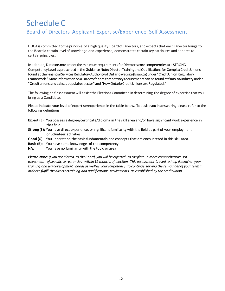### Schedule C Board of Directors Applicant Expertise/Experience Self-Assessment

DUCA is committed to the principle of a high quality Board of Directors, and expects that each Director brings to the Board a certain level of knowledge and experience, demonstrates certainkey attributes and adheresto certain principles.

In addition, Directors must meet the minimum requirements for Director's core competencies at a STRONG Competency Level as prescribed in the Guidance Note: Director Training and Qualifications for Complex Credit Unions found at the Financial Services Regulatory Authority of Ontario website (fsrao.ca) under "Credit Union Regulatory Framework." More information on a Director's core competency requirements can be found at fsrao.ca/industry under "Credit unions and caisses populaires sector" and "How Ontario Credit Unions are Regulated."

The following self-assessment will assistthe Elections Committee in determining the degree of expertise that you bring as a Candidate.

Please indicate your level of expertise/experience in the table below. Toassist you in answering please refer to the following definitions:

- **Expert (E):** You possess a degree/certificate/diploma in the skill area and/or have significant work experience in that field.
- **Strong (S):** You have direct experience, or significant familiarity with the field as part of your employment or volunteer activities.
- **Good (G):** You understand the basic fundamentals and concepts that are encountered in this skill area.
- **Basic (B):** You have some knowledge of the competency
- **NA:** You have no familiarity with the topic or area

Please Note: If you are elected to the Board, you will be expected to complete a more comprehensive self*assessment ofspecific competencies within 12 months of election. This assessment is used to help determine your training and self‐development needsas well as your competency to continue serving the remainder of yourtermin orderto fulfill the directortraining and qualifications requirements as established by the credit union.*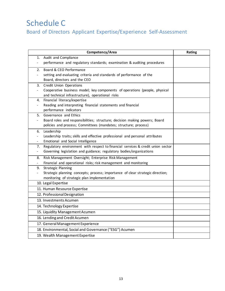## Schedule C

Board of Directors Applicant Expertise/Experience Self-Assessment

|                | Competency/Area                                                                       | Rating |
|----------------|---------------------------------------------------------------------------------------|--------|
|                | Audit and Compliance<br>1.                                                            |        |
| $\blacksquare$ | performance and regulatory standards; examination & auditing procedures               |        |
|                | Board & CEO Performance<br>2.                                                         |        |
| $\blacksquare$ | setting and evaluating criteria and standards of performance of the                   |        |
|                | Board, directors and the CEO                                                          |        |
|                | <b>Credit Union Operations</b><br>3.                                                  |        |
| $\blacksquare$ | Cooperative business model; key components of operations (people, physical            |        |
|                | and technical infrastructure), operational risks                                      |        |
|                | Financial literacy/expertise<br>4.                                                    |        |
| $\blacksquare$ | Reading and interpreting financial statements and financial                           |        |
|                | performance indicators                                                                |        |
|                | Governance and Ethics<br>5.                                                           |        |
| $\blacksquare$ | Board roles and responsibilities; structure; decision making powers; Board            |        |
|                | policies and process; Committees (mandates; structure; process)                       |        |
|                | Leadership<br>6.                                                                      |        |
| $\blacksquare$ | Leadership traits; skills and effective professional and personal attributes          |        |
| $\blacksquare$ | Emotional and Social Intelligence                                                     |        |
|                | Regulatory environment with respect to financial services & credit union sector<br>7. |        |
| $\blacksquare$ | Governing legislation and guidance; regulatory bodies/organizations                   |        |
|                | Risk Management Oversight; Enterprise Risk Management<br>8.                           |        |
| $\blacksquare$ | Financial and operational risks; risk management and monitoring                       |        |
|                | <b>Strategic Planning</b><br>9.                                                       |        |
|                | Strategic planning concepts; process; importance of clear strategic direction;        |        |
|                | monitoring of strategic plan implementation                                           |        |
|                | 10. Legal Expertise                                                                   |        |
|                | 11. Human Resource Expertise                                                          |        |
|                | 12. Professional Designation                                                          |        |
|                | 13. Investments Acumen                                                                |        |
|                | 14. Technology Expertise                                                              |        |
|                | 15. Liquidity Management Acumen                                                       |        |
|                | 16. Lending and Credit Acumen                                                         |        |
|                | 17. General Management Experience                                                     |        |
|                | 18. Environmental, Social and Governance ("ESG") Acumen                               |        |
|                | 19. Wealth Management Expertise                                                       |        |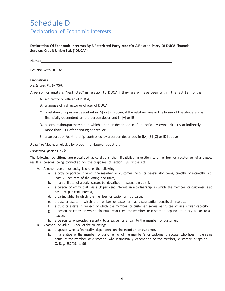**Declaration Of Economic Interests By A Restricted Party And/Or A Related Party Of DUCA Financial Services Credit Union Ltd. ("DUCA")**

Name:

Position with DUCA:

#### **Definitions**

*RestrictedParty (RP):*

A person or entity is "restricted" in relation to DUCA if they are or have been within the last 12 months:

- A. a director or officer of DUCA;
- B. a spouse of a director or officer of DUCA;
- C. a relative of a person described in [A] or [B] above, if the relative lives in the home of the above and is financially dependent on the person described in [A] or [B];
- D. a corporation/partnership in which a person described in [A] beneficially owns, directly or indirectly, more than 10% of the voting shares; or
- E. a corporation/partnership controlled by a person described in {[A] [B] [C] or [D] above

*Relative*: Means a relative by blood, marriage or adoption.

#### *Connected persons (CP):*

The following conditions are prescribed as conditions that, if satisfied in relation to a member or a customer of a league, result in persons being connected for the purposes of section 199 of the Act:

- A. Another person or entity is one of the following:
	- a. a body corporate in which the member or customer holds or beneficially owns, directly or indirectly, at least 20 per cent of the voting securities,
	- b. ii. an affiliate of a body corporate described in subparagraph i,
	- c. a person or entity that has a 50 per cent interest in a partnership in which the member or customer also has a 50 per cent interest,
	- d. a partnership in which the member or customer is a partner,
	- e. a trust or estate in which the member or customer has a substantial beneficial interest,
	- f. a trust or estate in respect of which the member or customer serves as trustee or in a similar capacity,
	- g. a person or entity on whose financial resources the member or customer depends to repay a loan to a league,
	- h. a person who provides security to a league for a loan to the member or customer.
- B. Another individual is one of the following:
	- a. a spouse who is financially dependent on the member or customer,
	- b. ii. a relative of the member or customer or of the member's or customer's spouse who lives in the same home as the member or customer, who is financially dependent on the member, customer or spouse. O. Reg. 237/09, s. 96.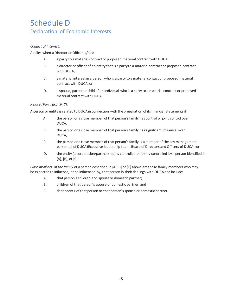### *Conflict of Interest:*

Applies when a Director or Officer is/has:

- A. a party to a material contract or proposed material contract with DUCA;
- B. a director or officer of an entity thatis a party to a material contract or proposed contract with DUCA;
- C. a material interestin a person who is a party to a material contact or proposed material contract with DUCA; or
- D. a spouse, parent or child of an individual who is a party to a material contract or proposed material contract with DUCA.

### *RelatedParty (RLT.PTY):*

A person or entity is relatedto DUCAin connection with the preparation of itsfinancial statementsif:

- A. the person or a close member of that person'sfamily has control or joint control over DUCA;
- B. the person or a close member of that person'sfamily hassignificant influence over DUCA;
- C. the person or a close member of that person'sfamily is a member of the key management personnel of DUCA (Executive leadership team; Board of Directors and Officers of DUCA;) or
- D. the entity (a corporation/partnership) is controlled or jointly controlled by a person identified in  $[A], [B],$  or  $[C].$

*Close members of the family* of a person described in {A] [B] or [C} above are those family members who may be expected to influence, or be influenced by, that person in their dealings with DUCA and include:

- A. that person's children and spouse or domestic partner;
- B. children of that person'sspouse or domestic partner; and
- C. dependents of that person or that person'sspouse or domestic partner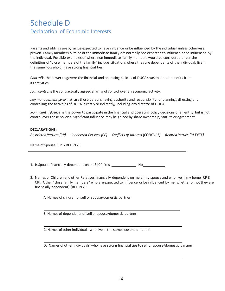Parents and siblings are by virtue expected to have influence or be influenced by the individual unless otherwise proven. Family members outside of the immediate family are normally not expected to influence or be influenced by the individual. Possible examples of where non-immediate family members would be considered under the definition of "close members of the family" include situations where they are dependents of the individual; live in the same household; have strong financial ties.

*Control* is the power to govern the financial and operating policies of DUCAsoasto obtain benefits from its activities.

*Joint control* isthe contractually agreedsharing of control over an economic activity.

*Key management personnel* are those persons having authority and responsibility for planning, directing and controlling the activities of DUCA, directly or indirectly, including any director of DUCA.

*Significant influence* isthe power to participate in the financial and operating policy decisions of an entity, but is not control over those policies. Significant influence may be gained by share ownership, statute or agreement.

#### **DECLARATIONS:**

*Restricted Parties: [RP] Connected Persons [CP] Conflicts of Interest [CONFLICT] Related Parties (RLT PTY]*

Name of Spouse [RP & RLT.PTY]:

1. Is Spouse financially dependent on me? [CP] Yes No

2. Names of Children and other Relatives financially dependent on me or my spouse and who live in my home [RP & CP]: Other "close family members" who are expected to influence or be influenced by me (whether or not they are financially dependent) [RLT.PTY]:

A. Names of children of self or spouse/domestic partner:

B. Names of dependents of selfor spouse/domestic partner:

C. Names of other individuals who live in the same household asself:

D. Names of other individuals who have strong financial tiesto self or spouse/domestic partner: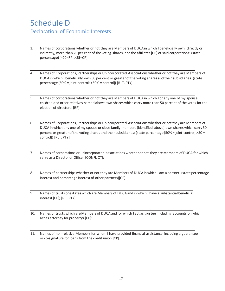- 3. Names of corporations whether or not they are Members of DUCAin which I beneficially own, directly or indirectly, more than 20 per cent of the voting shares, and the affiliates [CP] of said corporations: (state percentage)[>20=RP; >35=CP]:
- 4. Names of Corporations, Partnerships or Unincorporated Associations whether or not they are Members of DUCAin which I beneficially own 50 per cent or greater of the voting shares and their subsidiaries: (state percentage [50% = joint control; >50% = control]) [RLT. PTY]
- 5. Names of corporations whether or not they are Members of DUCAin which I or any one of my spouse, children and other relatives named above own shares which carry more than 50 percent of the votes for the election of directors: [RP]
- 6. Names of Corporations, Partnerships or Unincorporated Associations whether or not they are Members of DUCAin which any one of my spouse or close family members(identified above) own shares which carry50 percent or greater of the voting shares and their subsidiaries: (state percentage [50% = joint control; >50 = control]) [RLT. PTY]
- 7. Names of corporations or unincorporated associations whether or not they are Members of DUCA for which I serve as a Director or Officer [CONFLICT]:
- 8. Names of partnerships whether or not they are Members of DUCA in which I am a partner: (state percentage interest and percentage interest of other partners)[CP]:
- 9. Names of trusts or estates whichare Members of DUCAand in which I have a substantialbeneficial interest[CP]; [RLT PTY]:
- 10. Names of trusts which are Members of DUCAand for which I act astrustee (including accounts on which I act as attorney for property) [CP]:
- 11. Names of non-relative Membersfor whom I have provided financial assistance, including a guarantee or co-signature for loans from the credit union [CP]: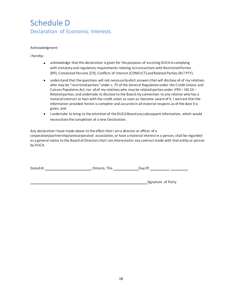#### Acknowledgment:

I hereby:

- acknowledge that this declaration is given for the purposes of assisting DUCA in complying with statutory and regulatory requirements relating to transactions with Restricted Parties [RP]; Connected Persons [CP], Conflicts of Interest [CONFLICT] and Related Parties (RLT PTY].
- understand that the questions will not necessarilyelicit answersthat will disclose all of my relatives who may be "restricted parties" under s. 75 of the General Regulation under the Credit Unions and Caisses Populaires Act, nor allof my relatives who may be related parties under IFRS– IAS 24 – Relatedparties; and undertake to disclose to the Board my connection to any relative who has a material contract or loan with the credit union as soon as I become aware of it. I warrant that the information provided herein is complete and accurate in all material respects as of the date itis given, and
- I undertake to bring to the attention of theDUCABoard any subsequent information, which would necessitate the completion of a new Declaration.

Any declaration I have made above to the effect that I am a director or officer of a corporation/partnership/unincorporated association, or have a material interestin a person,shall be regarded as a general notice to the Board of Directors that I am interested in any contract made with that entity or person by DUCA.

| Dated At | This<br>Ontario, | วล∨∩t |
|----------|------------------|-------|
|          |                  |       |

Signature of Party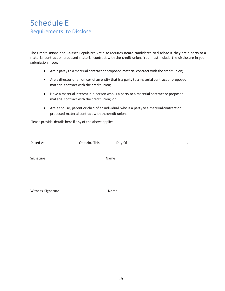### Schedule E Requirements to Disclose

The Credit Unions and Caisses Populaires Act also requires Board candidates to disclose if they are a party to a material contract or proposed material contract with the credit union. You must include the disclosure in your submission if you:

- Are a party to a material contract or proposed material contract with the credit union;
- Are a director or an officer of an entity that is a party to a material contract or proposed material contract with the credit union;
- Have a material interestin a person who is a party to a material contract or proposed material contract with the credit union; or
- Are a spouse, parent or child of an individual who is a party to a material contract or proposed material contract with the credit union.

Please provide details here if any of the above applies.

| Dated At          | Ontario, This __________ Day Of | $\mathcal{L}$ and $\mathcal{L}$ |  |
|-------------------|---------------------------------|---------------------------------|--|
| Signature         | Name                            |                                 |  |
|                   |                                 |                                 |  |
|                   |                                 |                                 |  |
| Witness Signature | Name                            |                                 |  |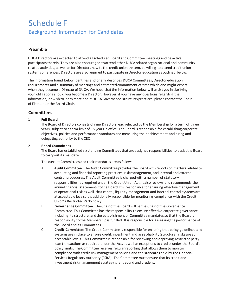### Schedule F Background Information for Candidates

### **Preamble**

DUCADirectors are expected to attend allscheduled Board and Committee meetings and be active participants therein. They are also encouraged to attend other DUCA related organizational and community related activities, as well asfor Directors new tothe credit union system, be willing to attendcredit union systemconferences. Directors are alsorequired to participate in Director education as outlined below.

The information found below identifies and briefly describes DUCACommittees, Director education requirements and a summary of meetings and estimatedcommitment of time which one might expect when they become a Director of DUCA. We hope that the information below will assist you in clarifying your obligations should you become a Director. However, if you have any questions regarding the information, or wish to learn more about DUCA Governance structure/practices, please contact the Chair of Election or the Board Chair.

### **Committees**

#### 1 **Full Board**

The Board of Directors consists of nine Directors, eachelected by the Membership for a term of three years, subject to a term-limit of 15 years in office. The Board is responsible for establishing corporate objectives, policies and performance standards and measuring their achievement and hiring and delegating authority to the CEO.

#### 2 **Board Committees**

The Board has established six standing Committeesthat are assignedresponsibilities to assistthe Board to carryout its mandate.

The current Committees and their mandates are as follows:

- A. **Audit Committee**: The Audit Committee provides the Board with reports on mattersrelatedto accounting and financial reporting practices, riskmanagement, and internal and external control procedures. The Audit Committee is chargedwith a number of statutory responsibilities, asrequired under the Credit Union Act. It also reviews and recommends the annual financial statements to the Board. It is responsible for ensuring effective management of operational risk as well, that capital, liquidity management and internal control systems are at acceptable levels. Itis additionally responsible for monitoring compliance with the Credit Union's Restricted Party policy.
- B. **Governance Committee**: The Chair of the Board will be the Chair of the Governance Committee. This Committee has the responsibility to ensure effective corporate governance, including its structure, and the establishment of Committee mandates so that the Board's responsibility to the Membership is fulfilled. Itis responsible for assessing the performance of the Board and its Committees.
- C. **Credit Committee**: The Credit Committee is responsible for ensuring that policy guidelines and systems are in place to ensure credit, investment and asset/liability (structural) risks are at acceptable levels. This Committee is responsible for reviewing and approving restricted party loan transactions as required under the Act, as well as exceptions to credits under the Board's policy limits. The Committee receives regular reporting that allows them to monitor compliance with credit risk management policies and the standards held by the Financial Services Regulatory Authority (FSRA). The Committee must ensure thatits credit and investment risk management strategy is fair, sound and prudent.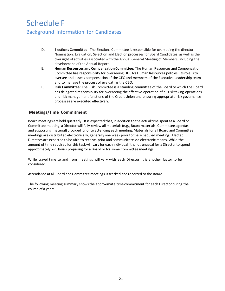### Schedule F Background Information for Candidates

- D. **Elections Committee**: The Elections Committee isresponsible for overseeing the director Nomination, Evaluation, Selection and Election processesfor Board Candidates, as well asthe oversight of activities associatedwith the Annual General Meeting of Members, including the development of the Annual Report.
- E. **Human Resources and Compensation Committee**: The Human Resources and Compensation Committee has responsibility for overseeing DUCA's Human Resources policies. Its role is to oversee and assess compensation of the CEO and members of the Executive Leadership team and to manage the process of evaluating the CEO.
- F. **Risk Committee:** The Risk Committee is a standing committee of the Board to which the Board has delegated responsibility for overseeing the effective operation of all risk taking operations and risk management functions of the Credit Union and ensuring appropriate risk governance processes are executed effectively.

### **Meetings/Time Commitment**

Board meetings are held quarterly. Itis expected that, in addition to the actualtime spent at a Board or Committee meeting, a Director will fully review all materials(e.g., Boardmaterials, Committee agendas and supporting material) provided prior to attending each meeting. Materials for all Board and Committee meetings are distributed electronically, generally one week prior to the scheduled meeting. Elected Directors are expected to be able to receive, print and communicate via electronic means. While the amount of time required for thistaskwill vary for each individual it is not unusual for a Directorto spend approximately 2–5 hours preparing for a Board or for some Committee meetings.

While travel time to and from meetings will vary with each Director, it is another factor to be considered.

Attendance at all Board and Committeemeetings istracked and reported to the Board.

The following meeting summary showsthe approximate time commitment for each Director during the course of a year: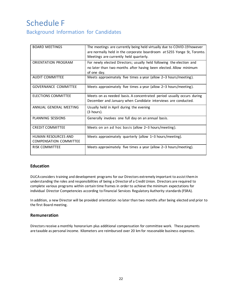### Schedule F Background Information for Candidates

| <b>BOARD MEETINGS</b>                                | The meetings are currently being held virtually due to COVID-19 however<br>are normally held in the corporate boardroom at 5255 Yonge St, Toronto.<br>Meetings are currently held quarterly. |
|------------------------------------------------------|----------------------------------------------------------------------------------------------------------------------------------------------------------------------------------------------|
| ORIENTATION PROGRAM                                  | For newly elected Directors; usually held following the election and<br>no later than two months after having been elected. Allow minimum<br>of one day.                                     |
| <b>AUDIT COMMITTEE</b>                               | Meets approximately five times a year (allow 2-3 hours/meeting).                                                                                                                             |
| <b>GOVERNANCE COMMITTEE</b>                          | Meets approximately five times a year (allow $2-3$ hours/meeting).                                                                                                                           |
| <b>ELECTIONS COMMITTEE</b>                           | Meets on as needed basis. A concentrated period usually occurs during<br>December and January when Candidate interviews are conducted.                                                       |
| ANNUAL GENERAL MEETING                               | Usually held in April during the evening<br>$(3$ hours).                                                                                                                                     |
| PLANNING SESSIONS                                    | Generally involves one full day on an annual basis.                                                                                                                                          |
| <b>CREDIT COMMITTEE</b>                              | Meets on an ad hoc basis (allow 2-3 hours/meeting).                                                                                                                                          |
| HUMAN RESOURCES AND<br><b>COMPENSATION COMMITTEE</b> | Meets approximately quarterly (allow 1–3 hours/meeting).                                                                                                                                     |
| <b>RISK COMMITTEE</b>                                | Meets approximately five times a year (allow $2-3$ hours/meeting).                                                                                                                           |

### **Education**

DUCAconsiders training and development programs for our Directors extremely important to assistthemin understanding the roles and responsibilities of being a Director of a Credit Union. Directors are required to complete various programs within certain time frames in order to achieve the minimum expectations for individual Director Competencies according to Financial Services Regulatory Authority standards (FSRA).

In addition, a new Director will be provided orientation no later than two months after being elected and prior to the first Board meeting.

### **Remuneration**

Directors receive a monthly honorarium plus additional compensation for committee work. These payments are taxable as personal income. Kilometers are reimbursed over 20 km for reasonable business expenses.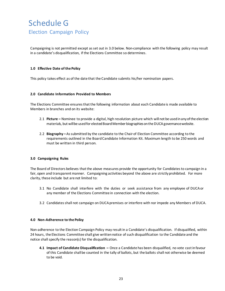### Schedule G Election Campaign Policy

Campaigning is not permitted except as set out in 3.0 below. Non-compliance with the following policy may result in a candidate's disqualification, if the Elections Committee so determines.

#### **1.0 Effective Date of the Policy**

This policy takes effect as of the date that the Candidate submits his/her nomination papers.

#### **2.0 Candidate Information Provided to Members**

The Elections Committee ensures that the following information about each Candidate is made available to Members in branches and on its website:

- 2.1 **Picture –** Nominee to provide a digital, high resolution picture which will not be used in any of the election materials, but will be used for elected Board Member biographieson the DUCA governance website.
- 2.2 **Biography –** Assubmitted by the candidate to the Chair of Election Committee according to the requirements outlined in the BoardCandidate Information Kit. Maximum length to be 250 words and must be written in third person.

#### **3.0 Campaigning Rules**

The Board of Directors believes that the above measures provide the opportunity for Candidates to campaign in a fair, open and transparent manner. Campaigning activities beyond the above are strictly prohibited. For more clarity, these include but are not limited to:

- 3.1 No Candidate shall interfere with the duties or seek assistance from any employee of DUCAor any member of the Elections Committee in connection with the election.
- 3.2 Candidates shall not campaign on DUCA premises or interfere with nor impede any Members of DUCA.

#### **4.0 Non‐Adherence to the Policy**

Non-adherence to the Election Campaign Policy may resultin a Candidate's disqualification. If disqualified, within 24 hours, the Elections Committee shall give written notice of such disqualification to the Candidate and the notice shall specify the reason(s) for the disqualification.

**4.1 Impact of Candidate Disqualification –** Once a Candidate has been disqualified, no vote castinfavour of this Candidate shall be counted in the tally of ballots, but the ballots shall not otherwise be deemed to be void.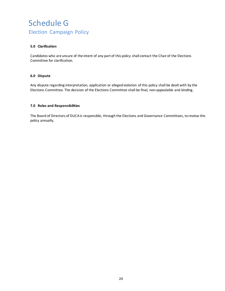### Schedule G Election Campaign Policy

#### **5.0 Clarification**

Candidates who are unsure of the intent of any part of this policy shall contact the Chair of the Elections Committee for clarification.

#### **6.0 Dispute**

Any dispute regarding interpretation, application or allegedviolation of this policy shall be dealt with by the Elections Committee. The decision of the Elections Committee shall be final, non-appealable and binding.

#### **7.0 Roles and Responsibilities**

The Board of Directors of DUCAis responsible, through the Elections and Governance Committees, toreview this policy annually.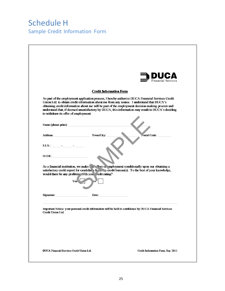### Schedule H Sample Credit Information Form

|                                                                                                                                                                                                                                | DUCA<br><b>Financial Services</b>                                                                                                                                                                               |
|--------------------------------------------------------------------------------------------------------------------------------------------------------------------------------------------------------------------------------|-----------------------------------------------------------------------------------------------------------------------------------------------------------------------------------------------------------------|
|                                                                                                                                                                                                                                |                                                                                                                                                                                                                 |
|                                                                                                                                                                                                                                |                                                                                                                                                                                                                 |
|                                                                                                                                                                                                                                |                                                                                                                                                                                                                 |
|                                                                                                                                                                                                                                |                                                                                                                                                                                                                 |
|                                                                                                                                                                                                                                | <b>Credit Information Form</b>                                                                                                                                                                                  |
|                                                                                                                                                                                                                                | As part of the employment application process, I hereby authorize DUCA Financial Services Credit                                                                                                                |
|                                                                                                                                                                                                                                | Union Ltd. to obtain credit information about me from any source. I understand that DUCA's                                                                                                                      |
|                                                                                                                                                                                                                                | obtaining credit information about me will be part of the employment decision-making process and<br>understand that, if deemed unsatisfactory by DUCA, this information may result in DUCA's deciding           |
| to withdraw its offer of employment.                                                                                                                                                                                           |                                                                                                                                                                                                                 |
|                                                                                                                                                                                                                                |                                                                                                                                                                                                                 |
| Name (please print):                                                                                                                                                                                                           |                                                                                                                                                                                                                 |
|                                                                                                                                                                                                                                |                                                                                                                                                                                                                 |
| Address: The Contract of the Contract of the Contract of the Contract of the Contract of the Contract of the Contract of the Contract of the Contract of the Contract of the Contract of the Contract of the Contract of the C | Town/City:<br>vostal Code:                                                                                                                                                                                      |
|                                                                                                                                                                                                                                |                                                                                                                                                                                                                 |
|                                                                                                                                                                                                                                |                                                                                                                                                                                                                 |
|                                                                                                                                                                                                                                |                                                                                                                                                                                                                 |
| $\bf{D.O.B.}$                                                                                                                                                                                                                  |                                                                                                                                                                                                                 |
|                                                                                                                                                                                                                                |                                                                                                                                                                                                                 |
|                                                                                                                                                                                                                                | As a financial institution, we make $\tau_{1}$ , effers on imployment conditionally upon our obtaining a<br>satisfactory credit report for candidat s from the credit bureau(s). To the best of your knowledge, |
| would there be any problem. The you are dit rating?                                                                                                                                                                            |                                                                                                                                                                                                                 |
| Yes                                                                                                                                                                                                                            | Io <sup>1</sup>                                                                                                                                                                                                 |
|                                                                                                                                                                                                                                |                                                                                                                                                                                                                 |
|                                                                                                                                                                                                                                |                                                                                                                                                                                                                 |
| Signature: The contract of the contract of the contract of the contract of the contract of the contract of the contract of the contract of the contract of the contract of the contract of the contract of the contract of the |                                                                                                                                                                                                                 |
|                                                                                                                                                                                                                                |                                                                                                                                                                                                                 |
|                                                                                                                                                                                                                                | Important Notice: your personal credit information will be held in confidence by DUCA Financial Services                                                                                                        |
| Credit Union Ltd.                                                                                                                                                                                                              |                                                                                                                                                                                                                 |
|                                                                                                                                                                                                                                |                                                                                                                                                                                                                 |
|                                                                                                                                                                                                                                |                                                                                                                                                                                                                 |
|                                                                                                                                                                                                                                |                                                                                                                                                                                                                 |
|                                                                                                                                                                                                                                |                                                                                                                                                                                                                 |
|                                                                                                                                                                                                                                |                                                                                                                                                                                                                 |
|                                                                                                                                                                                                                                |                                                                                                                                                                                                                 |
|                                                                                                                                                                                                                                |                                                                                                                                                                                                                 |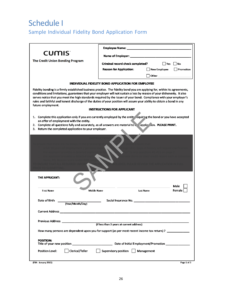### Schedule I Sample Individual Fidelity Bond Application Form

|                                                       | <b>Employee Name:</b>                                                                                                                                                                                                                                                                                                                                                                                                                                                                                   |
|-------------------------------------------------------|---------------------------------------------------------------------------------------------------------------------------------------------------------------------------------------------------------------------------------------------------------------------------------------------------------------------------------------------------------------------------------------------------------------------------------------------------------------------------------------------------------|
| CUMIS'                                                | Name of Employer:                                                                                                                                                                                                                                                                                                                                                                                                                                                                                       |
| The Credit Union Bonding Program                      |                                                                                                                                                                                                                                                                                                                                                                                                                                                                                                         |
|                                                       | <b>Criminal record check completed?</b><br>No<br>l Yes<br><b>Reason for Application:</b><br>New Employee<br>Promotion                                                                                                                                                                                                                                                                                                                                                                                   |
|                                                       | Other                                                                                                                                                                                                                                                                                                                                                                                                                                                                                                   |
|                                                       |                                                                                                                                                                                                                                                                                                                                                                                                                                                                                                         |
|                                                       | <b>INDIVIDUAL FIDELITY BOND APPLICATION FOR EMPLOYEE</b>                                                                                                                                                                                                                                                                                                                                                                                                                                                |
| future employment.                                    | Fidelity bonding is a firmly established business practice. The fidelity bond you are applying for, within its agreements,<br>conditions and limitations, guarantees that your employer will not sustain a loss by reason of your dishonesty. It also<br>serves notice that you meet the high standards required by the issuer of your bond. Compliance with your employer's<br>rules and faithful and honest discharge of the duties of your position will assure your ability to obtain a bond in any |
|                                                       | <b>INSTRUCTIONS FOR APPLICANT</b>                                                                                                                                                                                                                                                                                                                                                                                                                                                                       |
| an offer of employment with the entity.               | 1. Complete this application only if you are currently employed by the entity equiring the bond or you have accepted                                                                                                                                                                                                                                                                                                                                                                                    |
| 3. Return the completed application to your employer. | 2. Complete all questions fully and accurately, as all answers are material to examplic aon. PLEASE PRINT.                                                                                                                                                                                                                                                                                                                                                                                              |
| THE APPLICANT:                                        |                                                                                                                                                                                                                                                                                                                                                                                                                                                                                                         |
| Middle Name<br><b>First Name</b>                      | Male<br>Female<br>Last Name                                                                                                                                                                                                                                                                                                                                                                                                                                                                             |
| Date of Birth<br>(Year/Month/Day)                     | Social Insurance No.                                                                                                                                                                                                                                                                                                                                                                                                                                                                                    |
| <b>Current Address</b>                                | <u> 1989 - John Stone, Amerikaansk politiker (* 1908)</u>                                                                                                                                                                                                                                                                                                                                                                                                                                               |
|                                                       | (if less than 3 years at current address)                                                                                                                                                                                                                                                                                                                                                                                                                                                               |
|                                                       | How many persons are dependent upon you for support (as per most recent income tax return)?                                                                                                                                                                                                                                                                                                                                                                                                             |
| POSITION:                                             |                                                                                                                                                                                                                                                                                                                                                                                                                                                                                                         |
| Clerical/Teller<br><b>Position Level:</b>             | Supervisory position<br>Management                                                                                                                                                                                                                                                                                                                                                                                                                                                                      |
| (FBA-January 2015)                                    | Page 1 of 3                                                                                                                                                                                                                                                                                                                                                                                                                                                                                             |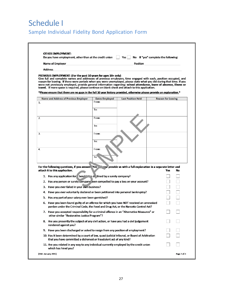### Schedule I Sample Individual Fidelity Bond Application Form

| <b>OTHER EMPLOYMENT:</b>                               | Do you have employment, other than at the credit union $\Box$                                                                                                                                                                                                                                                                                                                                                                                                                                                                                                                                                                                                      | $Yes \mid \cdot$          | No If "yes" complete the following:                                                                                                                                                                                                |    |
|--------------------------------------------------------|--------------------------------------------------------------------------------------------------------------------------------------------------------------------------------------------------------------------------------------------------------------------------------------------------------------------------------------------------------------------------------------------------------------------------------------------------------------------------------------------------------------------------------------------------------------------------------------------------------------------------------------------------------------------|---------------------------|------------------------------------------------------------------------------------------------------------------------------------------------------------------------------------------------------------------------------------|----|
|                                                        |                                                                                                                                                                                                                                                                                                                                                                                                                                                                                                                                                                                                                                                                    |                           | <b>Position Provider the Contract of Contract Contract of Contract Contract Contract Contract Contract Contract Contract Contract Contract Contract Contract Contract Contract Contract Contract Contract Contract Contract Co</b> |    |
|                                                        |                                                                                                                                                                                                                                                                                                                                                                                                                                                                                                                                                                                                                                                                    |                           |                                                                                                                                                                                                                                    |    |
| Address                                                |                                                                                                                                                                                                                                                                                                                                                                                                                                                                                                                                                                                                                                                                    |                           |                                                                                                                                                                                                                                    |    |
|                                                        | PREVIOUS EMPLOYMENT: (For the past 10 years for ages 18+ only)<br>Give full and complete names and addresses of previous employers, time engaged with each, position occupied, and<br>reason for leaving. If there were periods when you were unemployed, please state what you did during that time. If you<br>were not previously employed, provide general information regarding: school attendance, leave of absence, illness or<br>travel. If more space is required, please continue on blank sheet and attach to this application.<br>*Please ensure that there are no gaps in the full 10 year history provided, otherwise please provide an explanation.* |                           |                                                                                                                                                                                                                                    |    |
|                                                        |                                                                                                                                                                                                                                                                                                                                                                                                                                                                                                                                                                                                                                                                    |                           |                                                                                                                                                                                                                                    |    |
| <b>Name and Address of Previous Employer</b><br>1.     | <b>Dates Employed</b><br>From:                                                                                                                                                                                                                                                                                                                                                                                                                                                                                                                                                                                                                                     | <b>Last Position Held</b> | <b>Reason for Leaving</b>                                                                                                                                                                                                          |    |
|                                                        |                                                                                                                                                                                                                                                                                                                                                                                                                                                                                                                                                                                                                                                                    |                           |                                                                                                                                                                                                                                    |    |
|                                                        | To:                                                                                                                                                                                                                                                                                                                                                                                                                                                                                                                                                                                                                                                                |                           |                                                                                                                                                                                                                                    |    |
| 2.                                                     | From:                                                                                                                                                                                                                                                                                                                                                                                                                                                                                                                                                                                                                                                              |                           |                                                                                                                                                                                                                                    |    |
|                                                        |                                                                                                                                                                                                                                                                                                                                                                                                                                                                                                                                                                                                                                                                    |                           |                                                                                                                                                                                                                                    |    |
|                                                        | To:                                                                                                                                                                                                                                                                                                                                                                                                                                                                                                                                                                                                                                                                |                           |                                                                                                                                                                                                                                    |    |
| 3.                                                     | From:                                                                                                                                                                                                                                                                                                                                                                                                                                                                                                                                                                                                                                                              |                           |                                                                                                                                                                                                                                    |    |
|                                                        |                                                                                                                                                                                                                                                                                                                                                                                                                                                                                                                                                                                                                                                                    |                           |                                                                                                                                                                                                                                    |    |
|                                                        | To:                                                                                                                                                                                                                                                                                                                                                                                                                                                                                                                                                                                                                                                                |                           |                                                                                                                                                                                                                                    |    |
| 4.                                                     | From:                                                                                                                                                                                                                                                                                                                                                                                                                                                                                                                                                                                                                                                              |                           |                                                                                                                                                                                                                                    |    |
|                                                        | To:                                                                                                                                                                                                                                                                                                                                                                                                                                                                                                                                                                                                                                                                |                           |                                                                                                                                                                                                                                    |    |
|                                                        | For the following questions, if you answer Yes a reason provide us with a full explanation in a separate letter and                                                                                                                                                                                                                                                                                                                                                                                                                                                                                                                                                |                           |                                                                                                                                                                                                                                    |    |
| attach it to this application.                         |                                                                                                                                                                                                                                                                                                                                                                                                                                                                                                                                                                                                                                                                    |                           | Yes                                                                                                                                                                                                                                | No |
|                                                        | 1. Has any application for bond in a dedined by a surety company?                                                                                                                                                                                                                                                                                                                                                                                                                                                                                                                                                                                                  |                           |                                                                                                                                                                                                                                    |    |
|                                                        | 2. Has any person or surety company been compelled to pay a loss on your account?                                                                                                                                                                                                                                                                                                                                                                                                                                                                                                                                                                                  |                           |                                                                                                                                                                                                                                    |    |
| Have you ever failed in your own business?<br>3.       |                                                                                                                                                                                                                                                                                                                                                                                                                                                                                                                                                                                                                                                                    |                           |                                                                                                                                                                                                                                    |    |
| 4.                                                     | Have you ever voluntarily declared or been petitioned into personal bankruptcy?                                                                                                                                                                                                                                                                                                                                                                                                                                                                                                                                                                                    |                           |                                                                                                                                                                                                                                    |    |
| Has any part of your salary ever been garnished?<br>5. |                                                                                                                                                                                                                                                                                                                                                                                                                                                                                                                                                                                                                                                                    |                           |                                                                                                                                                                                                                                    |    |
|                                                        | 6. Have you been found guilty of an offence for which you have NOT received an unrevoked<br>pardon under the Criminal Code, the Food and Drug Act, or the Narcotic Control Act?                                                                                                                                                                                                                                                                                                                                                                                                                                                                                    |                           |                                                                                                                                                                                                                                    |    |
| other similar "Restorative Justice Program"?           | 7. Have you accepted responsibility for a criminal offence in an "Alternative Measures" or                                                                                                                                                                                                                                                                                                                                                                                                                                                                                                                                                                         |                           |                                                                                                                                                                                                                                    |    |
| rendered against you?                                  | 8. Are you presently the subject of any civil action, or have you had a civil judgement                                                                                                                                                                                                                                                                                                                                                                                                                                                                                                                                                                            |                           |                                                                                                                                                                                                                                    |    |
|                                                        | 9. Have you been discharged or asked to resign from any position of employment?                                                                                                                                                                                                                                                                                                                                                                                                                                                                                                                                                                                    |                           |                                                                                                                                                                                                                                    |    |
|                                                        | 10. Has it been determined by a court of law, quasi-judicial tribunal, or Board of Arbitration<br>that you have committed a dishonest or fraudulent act of any kind?                                                                                                                                                                                                                                                                                                                                                                                                                                                                                               |                           |                                                                                                                                                                                                                                    |    |
|                                                        |                                                                                                                                                                                                                                                                                                                                                                                                                                                                                                                                                                                                                                                                    |                           |                                                                                                                                                                                                                                    |    |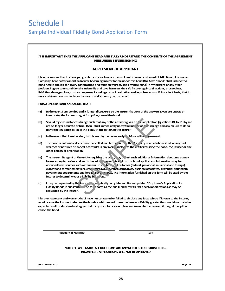### Schedule I Sample Individual Fidelity Bond Application Form

#### IT IS IMPORTANT THAT THE APPLICANT READ AND FULLY UNDERSTAND THE CONTENTS OF THE AGREEMENT **HEREUNDER BEFORE SIGNING**

#### **AGREEMENT OF APPLICANT**

I hereby warrant that the foregoing statements are true and correct, and in consideration of CUMIS General Insurance Company, hereinafter called the Insurer becoming Insurer for me under this bond (the term "bond" shall include the bond herein applied for, every continuation or alteration thereof, and any new bond) in my present or any other position, I agree to unconditionally indemnify and save harmless the said insurer against all actions, proceedings, liabilities, damages, loss, cost and expense, including costs of realization and legal fees on a solicitor client basis, that it may sustain or become liable for by reason of dishonesty on my behalf.

#### I ALSO UNDERSTAND AND AGREE THAT:

- In the event I am bonded and it is later discovered by the Insurer that any of the answers given are untrue or  $(a)$ inaccurate, the insurer may, at its option, cancel the bond.
- Should my circumstances change such that any of the answers given on ' as application (questions #1 to 11) by me  $(b)$ are no longer accurate or true, then I shall immediately notify the Instead of state change and any failure to do so may result in cancellation of the bond, at the option of the Insurer.
- (c) In the event that I am bonded, I am bound by the terms and positions of the greement.
- The bond is automatically deemed cancelled and termin . ed ith. liser ery of any dishonest act on my part  $(d)$ whether or not such dishonest act results in any more ary lose to the untity requiring the bond, the Insurer or any other person or organization.
- (e) The Insurer, its agent or the entity requiring the bo d, avere let such additional information about me as may be necessary to review and verify the information  $\alpha$  tair, d on this bond application. Information may be obtained from sources such as: financial inst. This. This plice forces (federal, provincial, municipal and foreign), current and former employers, cret wireaus, surance companies, business associates, provincial and federal government departments and foreig governments. The information furnished on this form will be used by the Insurer to determine your eligibility for a cond.
- (f) I may be requested by the insure the polically complete and file an updated "Employee's Application for Fidelity Bond" in substant. The sar e form as the one filed herewith, with such modifications as may be requested by the Insurer.

I further represent and warrant that I have not concealed or failed to disclose any facts which, if known to the Insurer, would cause the Insurer to decline the bond or which would make the Insurer's liability greater than would normally be expected and I understand and agree that if any such facts should become known to the Insurer, it may, at its option, cancel the bond.

Signature of Applicant

Date

NOTE: PLEASE ENSURE ALL QUESTIONS ARE ANSWERED BEFORE SUBMITTING. INCOMPLETE APPLICATIONS WILL NOT BE APPROVED

Page 3 of 3